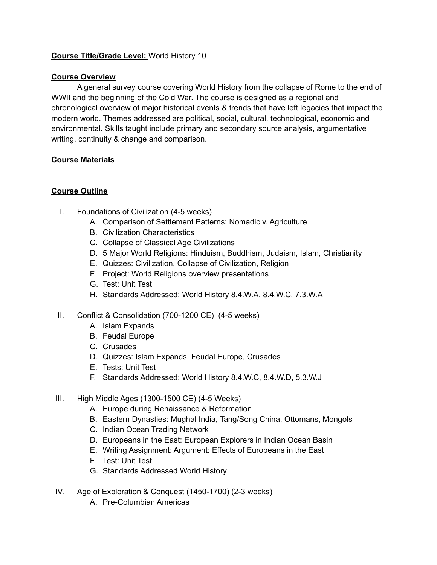## **Course Title/Grade Level:** World History 10

## **Course Overview**

A general survey course covering World History from the collapse of Rome to the end of WWII and the beginning of the Cold War. The course is designed as a regional and chronological overview of major historical events & trends that have left legacies that impact the modern world. Themes addressed are political, social, cultural, technological, economic and environmental. Skills taught include primary and secondary source analysis, argumentative writing, continuity & change and comparison.

## **Course Materials**

## **Course Outline**

- I. Foundations of Civilization (4-5 weeks)
	- A. Comparison of Settlement Patterns: Nomadic v. Agriculture
	- B. Civilization Characteristics
	- C. Collapse of Classical Age Civilizations
	- D. 5 Major World Religions: Hinduism, Buddhism, Judaism, Islam, Christianity
	- E. Quizzes: Civilization, Collapse of Civilization, Religion
	- F. Project: World Religions overview presentations
	- G. Test: Unit Test
	- H. Standards Addressed: World History 8.4.W.A, 8.4.W.C, 7.3.W.A
- II. Conflict & Consolidation (700-1200 CE) (4-5 weeks)
	- A. Islam Expands
	- B. Feudal Europe
	- C. Crusades
	- D. Quizzes: Islam Expands, Feudal Europe, Crusades
	- E. Tests: Unit Test
	- F. Standards Addressed: World History 8.4.W.C, 8.4.W.D, 5.3.W.J
- III. High Middle Ages (1300-1500 CE) (4-5 Weeks)
	- A. Europe during Renaissance & Reformation
	- B. Eastern Dynasties: Mughal India, Tang/Song China, Ottomans, Mongols
	- C. Indian Ocean Trading Network
	- D. Europeans in the East: European Explorers in Indian Ocean Basin
	- E. Writing Assignment: Argument: Effects of Europeans in the East
	- F. Test: Unit Test
	- G. Standards Addressed World History
- IV. Age of Exploration & Conquest (1450-1700) (2-3 weeks)
	- A. Pre-Columbian Americas